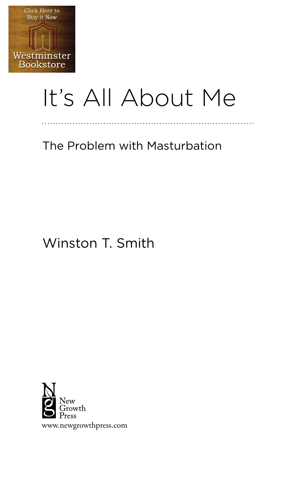

# It's All About Me

. . . . . . . . . . . .

The Problem with Masturbation

# Winston T. Smith

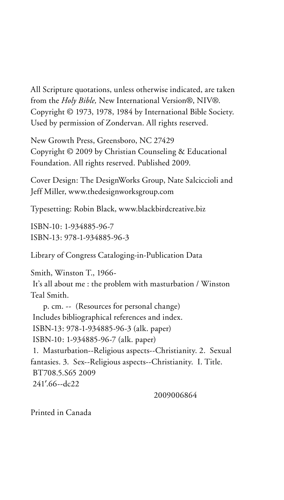All Scripture quotations, unless otherwise indicated, are taken from the *Holy Bible,* New International Version®, NIV®. Copyright © 1973, 1978, 1984 by International Bible Society. Used by permission of Zondervan. All rights reserved.

New Growth Press, Greensboro, NC 27429 Copyright © 2009 by Christian Counseling & Educational Foundation. All rights reserved. Published 2009.

Cover Design: The DesignWorks Group, Nate Salciccioli and Jeff Miller, www.thedesignworksgroup.com

Typesetting: Robin Black, www.blackbirdcreative.biz

ISBN-10: 1-934885-96-7 ISBN-13: 978-1-934885-96-3

Library of Congress Cataloging-in-Publication Data

Smith, Winston T., 1966- It's all about me : the problem with masturbation / Winston Teal Smith. p. cm. -- (Resources for personal change) Includes bibliographical references and index. ISBN-13: 978-1-934885-96-3 (alk. paper) ISBN-10: 1-934885-96-7 (alk. paper) 1. Masturbation--Religious aspects--Christianity. 2. Sexual fantasies. 3. Sex--Religious aspects--Christianity. I. Title. BT708.5.S65 2009 241'.66--dc22

2009006864

Printed in Canada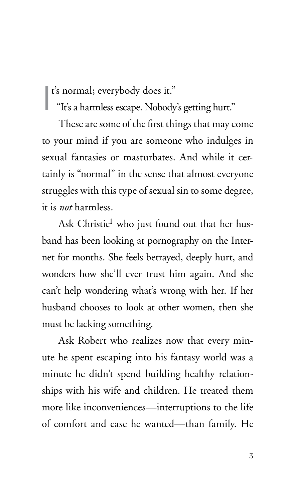t's normal; everybody does it."

t's normal; everybody does it."<br>"It's a harmless escape. Nobody's getting hurt."

These are some of the first things that may come to your mind if you are someone who indulges in sexual fantasies or masturbates. And while it certainly is "normal" in the sense that almost everyone struggles with this type of sexual sin to some degree, it is *not* harmless.

Ask Christie<sup>1</sup> who just found out that her husband has been looking at pornography on the Internet for months. She feels betrayed, deeply hurt, and wonders how she'll ever trust him again. And she can't help wondering what's wrong with her. If her husband chooses to look at other women, then she must be lacking something.

Ask Robert who realizes now that every minute he spent escaping into his fantasy world was a minute he didn't spend building healthy relationships with his wife and children. He treated them more like inconveniences—interruptions to the life of comfort and ease he wanted—than family. He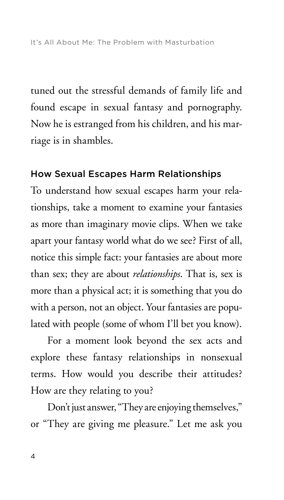tuned out the stressful demands of family life and found escape in sexual fantasy and pornography. Now he is estranged from his children, and his marriage is in shambles.

#### How Sexual Escapes Harm Relationships

To understand how sexual escapes harm your relationships, take a moment to examine your fantasies as more than imaginary movie clips. When we take apart your fantasy world what do we see? First of all, notice this simple fact: your fantasies are about more than sex; they are about *relationships*. That is, sex is more than a physical act; it is something that you do with a person, not an object. Your fantasies are populated with people (some of whom I'll bet you know).

For a moment look beyond the sex acts and explore these fantasy relationships in nonsexual terms. How would you describe their attitudes? How are they relating to you?

Don't just answer, "They are enjoying themselves," or "They are giving me pleasure." Let me ask you

4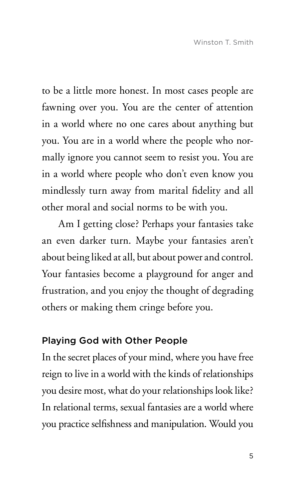to be a little more honest. In most cases people are fawning over you. You are the center of attention in a world where no one cares about anything but you. You are in a world where the people who normally ignore you cannot seem to resist you. You are in a world where people who don't even know you mindlessly turn away from marital fidelity and all other moral and social norms to be with you.

Am I getting close? Perhaps your fantasies take an even darker turn. Maybe your fantasies aren't about being liked at all, but about power and control. Your fantasies become a playground for anger and frustration, and you enjoy the thought of degrading others or making them cringe before you.

## Playing God with Other People

In the secret places of your mind, where you have free reign to live in a world with the kinds of relationships you desire most, what do your relationships look like? In relational terms, sexual fantasies are a world where you practice selfishness and manipulation. Would you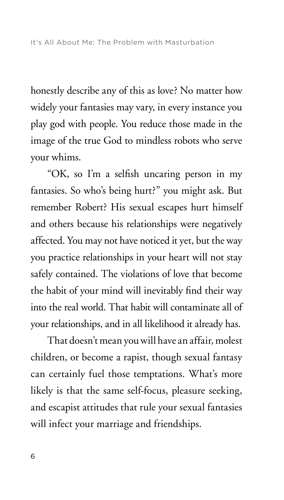honestly describe any of this as love? No matter how widely your fantasies may vary, in every instance you play god with people. You reduce those made in the image of the true God to mindless robots who serve your whims.

"OK, so I'm a selfish uncaring person in my fantasies. So who's being hurt?" you might ask. But remember Robert? His sexual escapes hurt himself and others because his relationships were negatively affected. You may not have noticed it yet, but the way you practice relationships in your heart will not stay safely contained. The violations of love that become the habit of your mind will inevitably find their way into the real world. That habit will contaminate all of your relationships, and in all likelihood it already has.

That doesn't mean you will have an affair, molest children, or become a rapist, though sexual fantasy can certainly fuel those temptations. What's more likely is that the same self-focus, pleasure seeking, and escapist attitudes that rule your sexual fantasies will infect your marriage and friendships.